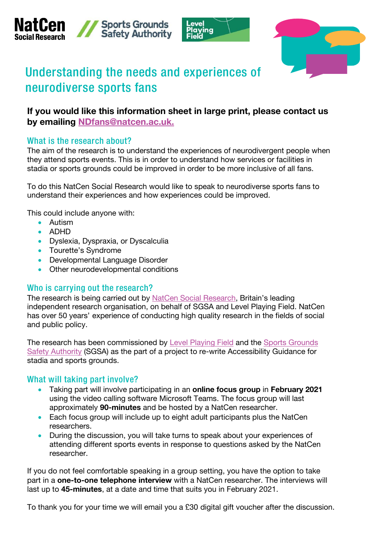







# Understanding the needs and experiences of neurodiverse sports fans

# **If you would like this information sheet in large print, please contact us by emailing NDfans@natcen.ac.uk.**

# What is the research about?

The aim of the research is to understand the experiences of neurodivergent people when they attend sports events. This is in order to understand how services or facilities in stadia or sports grounds could be improved in order to be more inclusive of all fans.

To do this NatCen Social Research would like to speak to neurodiverse sports fans to understand their experiences and how experiences could be improved.

This could include anyone with:

- Autism
- ADHD
- Dyslexia, Dyspraxia, or Dyscalculia
- Tourette's Syndrome
- Developmental Language Disorder
- Other neurodevelopmental conditions

## Who is carrying out the research?

The research is being carried out by [NatCen Social Research,](https://www.natcen.ac.uk/) Britain's leading independent research organisation, on behalf of SGSA and Level Playing Field. NatCen has over 50 years' experience of conducting high quality research in the fields of social and public policy.

The research has been commissioned by [Level Playing Field](https://www.levelplayingfield.org.uk/) and the [Sports Grounds](https://sgsa.org.uk/) Safety Authority (SGSA) as the part of a project to re-write Accessibility Guidance for stadia and sports grounds.

## What will taking part involve?

- Taking part will involve participating in an **online focus group** in **February 2021** using the video calling software Microsoft Teams. The focus group will last approximately **90-minutes** and be hosted by a NatCen researcher.
- Each focus group will include up to eight adult participants plus the NatCen researchers.
- During the discussion, you will take turns to speak about your experiences of attending different sports events in response to questions asked by the NatCen researcher.

If you do not feel comfortable speaking in a group setting, you have the option to take part in a **one-to-one telephone interview** with a NatCen researcher. The interviews will last up to **45-minutes**, at a date and time that suits you in February 2021.

To thank you for your time we will email you a £30 digital gift voucher after the discussion.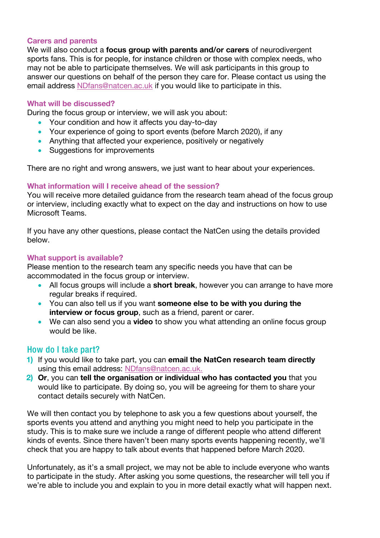#### **Carers and parents**

We will also conduct a **focus group with parents and/or carers** of neurodivergent sports fans. This is for people, for instance children or those with complex needs, who may not be able to participate themselves. We will ask participants in this group to answer our questions on behalf of the person they care for. Please contact us using the email address [NDfans@natcen.ac.uk](mailto:NDfans@natcen.ac.uk) if you would like to participate in this.

#### **What will be discussed?**

During the focus group or interview, we will ask you about:

- Your condition and how it affects you day-to-day
- Your experience of going to sport events (before March 2020), if any
- Anything that affected your experience, positively or negatively
- Suggestions for improvements

There are no right and wrong answers, we just want to hear about your experiences.

#### **What information will I receive ahead of the session?**

You will receive more detailed guidance from the research team ahead of the focus group or interview, including exactly what to expect on the day and instructions on how to use Microsoft Teams.

If you have any other questions, please contact the NatCen using the details provided below.

#### **What support is available?**

Please mention to the research team any specific needs you have that can be accommodated in the focus group or interview.

- All focus groups will include a **short break**, however you can arrange to have more regular breaks if required.
- You can also tell us if you want **someone else to be with you during the interview or focus group**, such as a friend, parent or carer.
- We can also send you a **video** to show you what attending an online focus group would be like.

## How do I take part?

- **1)** If you would like to take part, you can **email the NatCen research team directly** using this email address: [NDfans@natcen.ac.uk.](mailto:NDfans@natcen.ac.uk)
- **2) Or**, you can **tell the organisation or individual who has contacted you** that you would like to participate. By doing so, you will be agreeing for them to share your contact details securely with NatCen.

We will then contact you by telephone to ask you a few questions about yourself, the sports events you attend and anything you might need to help you participate in the study. This is to make sure we include a range of different people who attend different kinds of events. Since there haven't been many sports events happening recently, we'll check that you are happy to talk about events that happened before March 2020.

Unfortunately, as it's a small project, we may not be able to include everyone who wants to participate in the study. After asking you some questions, the researcher will tell you if we're able to include you and explain to you in more detail exactly what will happen next.